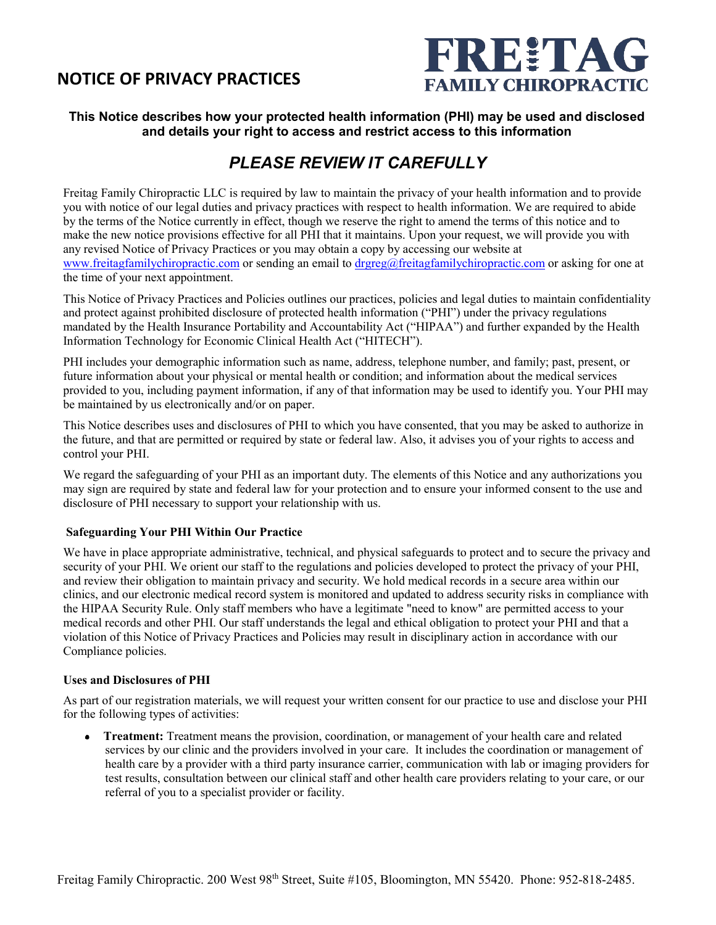## **NOTICE OF PRIVACY PRACTICES**



### **This Notice describes how your protected health information (PHI) may be used and disclosed and details your right to access and restrict access to this information**

# *PLEASE REVIEW IT CAREFULLY*

Freitag Family Chiropractic LLC is required by law to maintain the privacy of your health information and to provide you with notice of our legal duties and privacy practices with respect to health information. We are required to abide by the terms of the Notice currently in effect, though we reserve the right to amend the terms of this notice and to make the new notice provisions effective for all PHI that it maintains. Upon your request, we will provide you with any revised Notice of Privacy Practices or you may obtain a copy by accessing our website at [www.freitagfamilychiropractic.com](http://www.freitagfamilychiropractic.com/) or sending an email to [drgreg@freitagfamilychiropractic.com](mailto:drgreg@freitagfamilychiropractic.com) or asking for one at the time of your next appointment.

This Notice of Privacy Practices and Policies outlines our practices, policies and legal duties to maintain confidentiality and protect against prohibited disclosure of protected health information ("PHI") under the privacy regulations mandated by the Health Insurance Portability and Accountability Act ("HIPAA") and further expanded by the Health Information Technology for Economic Clinical Health Act ("HITECH").

PHI includes your demographic information such as name, address, telephone number, and family; past, present, or future information about your physical or mental health or condition; and information about the medical services provided to you, including payment information, if any of that information may be used to identify you. Your PHI may be maintained by us electronically and/or on paper.

This Notice describes uses and disclosures of PHI to which you have consented, that you may be asked to authorize in the future, and that are permitted or required by state or federal law. Also, it advises you of your rights to access and control your PHI.

We regard the safeguarding of your PHI as an important duty. The elements of this Notice and any authorizations you may sign are required by state and federal law for your protection and to ensure your informed consent to the use and disclosure of PHI necessary to support your relationship with us.

#### **Safeguarding Your PHI Within Our Practice**

We have in place appropriate administrative, technical, and physical safeguards to protect and to secure the privacy and security of your PHI. We orient our staff to the regulations and policies developed to protect the privacy of your PHI, and review their obligation to maintain privacy and security. We hold medical records in a secure area within our clinics, and our electronic medical record system is monitored and updated to address security risks in compliance with the HIPAA Security Rule. Only staff members who have a legitimate "need to know" are permitted access to your medical records and other PHI. Our staff understands the legal and ethical obligation to protect your PHI and that a violation of this Notice of Privacy Practices and Policies may result in disciplinary action in accordance with our Compliance policies.

#### **Uses and Disclosures of PHI**

As part of our registration materials, we will request your written consent for our practice to use and disclose your PHI for the following types of activities:

**Treatment:** Treatment means the provision, coordination, or management of your health care and related services by our clinic and the providers involved in your care. It includes the coordination or management of health care by a provider with a third party insurance carrier, communication with lab or imaging providers for test results, consultation between our clinical staff and other health care providers relating to your care, or our referral of you to a specialist provider or facility.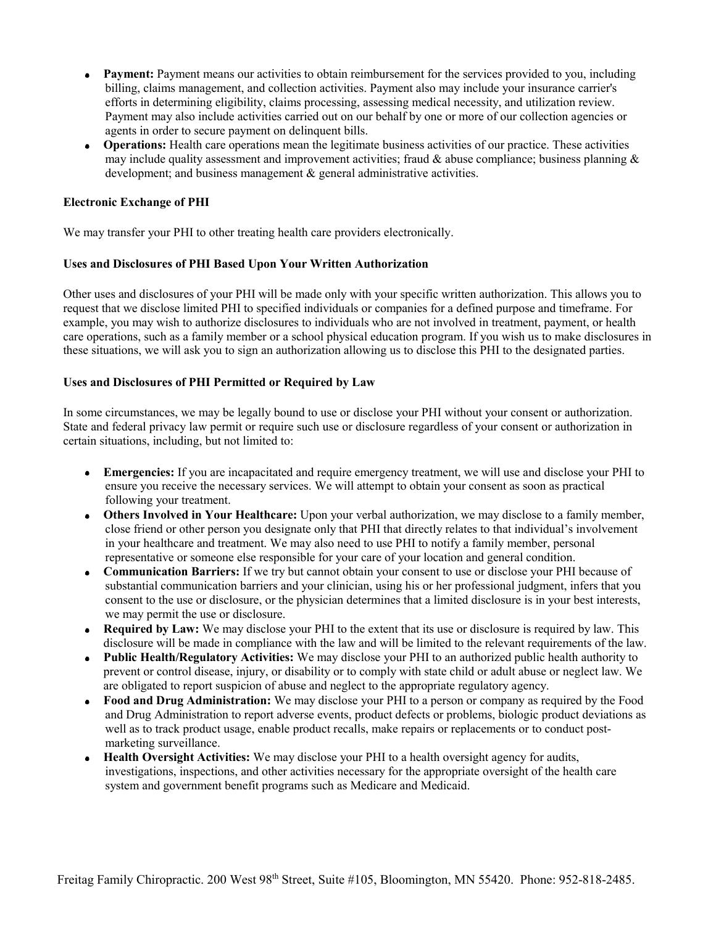- **Payment:** Payment means our activities to obtain reimbursement for the services provided to you, including billing, claims management, and collection activities. Payment also may include your insurance carrier's efforts in determining eligibility, claims processing, assessing medical necessity, and utilization review. Payment may also include activities carried out on our behalf by one or more of our collection agencies or agents in order to secure payment on delinquent bills.
- **Operations:** Health care operations mean the legitimate business activities of our practice. These activities may include quality assessment and improvement activities; fraud & abuse compliance; business planning  $\&$ development; and business management & general administrative activities.

#### **Electronic Exchange of PHI**

We may transfer your PHI to other treating health care providers electronically.

#### **Uses and Disclosures of PHI Based Upon Your Written Authorization**

Other uses and disclosures of your PHI will be made only with your specific written authorization. This allows you to request that we disclose limited PHI to specified individuals or companies for a defined purpose and timeframe. For example, you may wish to authorize disclosures to individuals who are not involved in treatment, payment, or health care operations, such as a family member or a school physical education program. If you wish us to make disclosures in these situations, we will ask you to sign an authorization allowing us to disclose this PHI to the designated parties.

#### **Uses and Disclosures of PHI Permitted or Required by Law**

In some circumstances, we may be legally bound to use or disclose your PHI without your consent or authorization. State and federal privacy law permit or require such use or disclosure regardless of your consent or authorization in certain situations, including, but not limited to:

- $\bullet$ **Emergencies:** If you are incapacitated and require emergency treatment, we will use and disclose your PHI to ensure you receive the necessary services. We will attempt to obtain your consent as soon as practical following your treatment.
- **Others Involved in Your Healthcare:** Upon your verbal authorization, we may disclose to a family member, close friend or other person you designate only that PHI that directly relates to that individual's involvement in your healthcare and treatment. We may also need to use PHI to notify a family member, personal representative or someone else responsible for your care of your location and general condition.
- **Communication Barriers:** If we try but cannot obtain your consent to use or disclose your PHI because of substantial communication barriers and your clinician, using his or her professional judgment, infers that you consent to the use or disclosure, or the physician determines that a limited disclosure is in your best interests, we may permit the use or disclosure.
- **Required by Law:** We may disclose your PHI to the extent that its use or disclosure is required by law. This disclosure will be made in compliance with the law and will be limited to the relevant requirements of the law.
- **Public Health/Regulatory Activities:** We may disclose your PHI to an authorized public health authority to  $\bullet$ prevent or control disease, injury, or disability or to comply with state child or adult abuse or neglect law. We are obligated to report suspicion of abuse and neglect to the appropriate regulatory agency.
- **Food and Drug Administration:** We may disclose your PHI to a person or company as required by the Food and Drug Administration to report adverse events, product defects or problems, biologic product deviations as well as to track product usage, enable product recalls, make repairs or replacements or to conduct postmarketing surveillance.
- **Health Oversight Activities:** We may disclose your PHI to a health oversight agency for audits, investigations, inspections, and other activities necessary for the appropriate oversight of the health care system and government benefit programs such as Medicare and Medicaid.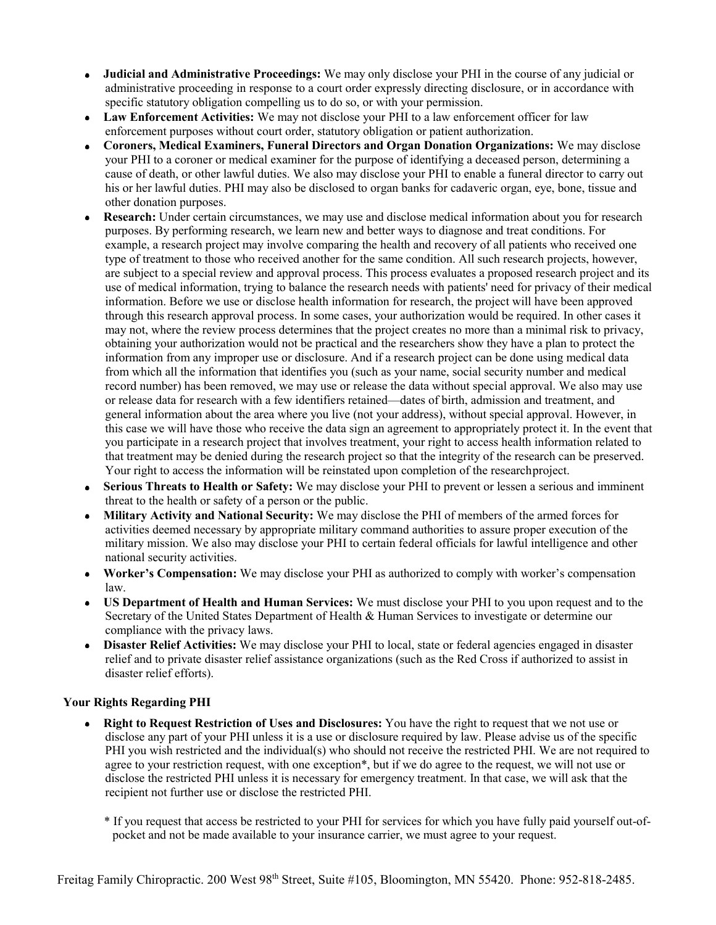- **Judicial and Administrative Proceedings:** We may only disclose your PHI in the course of any judicial or  $\bullet$ administrative proceeding in response to a court order expressly directing disclosure, or in accordance with specific statutory obligation compelling us to do so, or with your permission.
- **Law Enforcement Activities:** We may not disclose your PHI to a law enforcement officer for law  $\bullet$ enforcement purposes without court order, statutory obligation or patient authorization.
- **Coroners, Medical Examiners, Funeral Directors and Organ Donation Organizations:** We may disclose your PHI to a coroner or medical examiner for the purpose of identifying a deceased person, determining a cause of death, or other lawful duties. We also may disclose your PHI to enable a funeral director to carry out his or her lawful duties. PHI may also be disclosed to organ banks for cadaveric organ, eye, bone, tissue and other donation purposes.
- **Research:** Under certain circumstances, we may use and disclose medical information about you for research  $\bullet$ purposes. By performing research, we learn new and better ways to diagnose and treat conditions. For example, a research project may involve comparing the health and recovery of all patients who received one type of treatment to those who received another for the same condition. All such research projects, however, are subject to a special review and approval process. This process evaluates a proposed research project and its use of medical information, trying to balance the research needs with patients' need for privacy of their medical information. Before we use or disclose health information for research, the project will have been approved through this research approval process. In some cases, your authorization would be required. In other cases it may not, where the review process determines that the project creates no more than a minimal risk to privacy, obtaining your authorization would not be practical and the researchers show they have a plan to protect the information from any improper use or disclosure. And if a research project can be done using medical data from which all the information that identifies you (such as your name, social security number and medical record number) has been removed, we may use or release the data without special approval. We also may use or release data for research with a few identifiers retained—dates of birth, admission and treatment, and general information about the area where you live (not your address), without special approval. However, in this case we will have those who receive the data sign an agreement to appropriately protect it. In the event that you participate in a research project that involves treatment, your right to access health information related to that treatment may be denied during the research project so that the integrity of the research can be preserved. Your right to access the information will be reinstated upon completion of the researchproject.
- **Serious Threats to Health or Safety:** We may disclose your PHI to prevent or lessen a serious and imminent threat to the health or safety of a person or the public.
- **Military Activity and National Security:** We may disclose the PHI of members of the armed forces for activities deemed necessary by appropriate military command authorities to assure proper execution of the military mission. We also may disclose your PHI to certain federal officials for lawful intelligence and other national security activities.
- **Worker's Compensation:** We may disclose your PHI as authorized to comply with worker's compensation  $\bullet$ law.
- **US Department of Health and Human Services:** We must disclose your PHI to you upon request and to the Secretary of the United States Department of Health & Human Services to investigate or determine our compliance with the privacy laws.
- **Disaster Relief Activities:** We may disclose your PHI to local, state or federal agencies engaged in disaster relief and to private disaster relief assistance organizations (such as the Red Cross if authorized to assist in disaster relief efforts).

#### **Your Rights Regarding PHI**

- **Right to Request Restriction of Uses and Disclosures:** You have the right to request that we not use or disclose any part of your PHI unless it is a use or disclosure required by law. Please advise us of the specific PHI you wish restricted and the individual(s) who should not receive the restricted PHI. We are not required to agree to your restriction request, with one exception\*, but if we do agree to the request, we will not use or disclose the restricted PHI unless it is necessary for emergency treatment. In that case, we will ask that the recipient not further use or disclose the restricted PHI.
	- \* If you request that access be restricted to your PHI for services for which you have fully paid yourself out-ofpocket and not be made available to your insurance carrier, we must agree to your request.